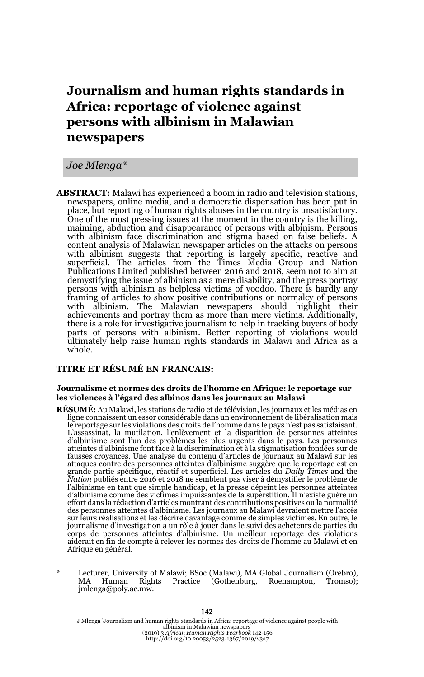# **Journalism and human rights standards in Africa: reportage of violence against persons with albinism in Malawian newspapers**

*Joe Mlenga\**

**ABSTRACT:** Malawi has experienced a boom in radio and television stations, newspapers, online media, and a democratic dispensation has been put in place, but reporting of human rights abuses in the country is unsatisfactory. One of the most pressing issues at the moment in the country is the killing, maiming, abduction and disappearance of persons with albinism. Persons with albinism face discrimination and stigma based on false beliefs. A content analysis of Malawian newspaper articles on the attacks on persons with albinism suggests that reporting is largely specific, reactive and superficial. The articles from the Times Media Group and Nation Publications Limited published between 2016 and 2018, seem not to aim at demystifying the issue of albinism as a mere disability, and the press portray persons with albinism as helpless victims of voodoo. There is hardly any framing of articles to show positive contributions or normalcy of persons with albinism. The Malawian newspapers should highlight their achievements and portray them as more than mere victims. Additionally, there is a role for investigative journalism to help in tracking buyers of body parts of persons with albinism. Better reporting of violations would ultimately help raise human rights standards in Malawi and Africa as a whole.

#### **TITRE ET RÉSUMÉ EN FRANCAIS:**

#### **Journalisme et normes des droits de l'homme en Afrique: le reportage sur les violences à l'égard des albinos dans les journaux au Malawi**

- **RÉSUMÉ:** Au Malawi, les stations de radio et de télévision, les journaux et les médias en ligne connaissent un essor considérable dans un environnement de libéralisation mais le reportage sur les violations des droits de l'homme dans le pays n'est pas satisfaisant. L'assassinat, la mutilation, l'enlèvement et la disparition de personnes atteintes d'albinisme sont l'un des problèmes les plus urgents dans le pays. Les personnes atteintes d'albinisme font face à la discrimination et à la stigmatisation fondées sur de fausses croyances. Une analyse du contenu d'articles de journaux au Malawi sur les attaques contre des personnes atteintes d'albinisme suggère que le reportage est en grande partie spécifique, réactif et superficiel. Les articles du *Daily Times* and the *Nation* publiés entre 2016 et 2018 ne semblent pas viser à démystifier le problème de l'albinisme en tant que simple handicap, et la presse dépeint les personnes atteintes d'albinisme comme des victimes impuissantes de la superstition. Il n'existe guère un effort dans la rédaction d'articles montrant des contributions positives ou la normalité des personnes atteintes d'albinisme. Les journaux au Malawi devraient mettre l'accès sur leurs réalisations et les décrire davantage comme de simples victimes. En outre, le journalisme d'investigation a un rôle à jouer dans le suivi des acheteurs de parties du corps de personnes atteintes d'albinisme. Un meilleur reportage des violations aiderait en fin de compte à relever les normes des droits de l'homme au Malawi et en Afrique en général.
- \* Lecturer, University of Malawi; BSoc (Malawi), MA Global Journalism (Orebro), MA Human Rights Practice (Gothenburg, Roehampton, Tromso); jmlenga@poly.ac.mw.

J Mlenga 'Journalism and human rights standards in Africa: reportage of violence against people with albinism in Malawian newspapers' (2019) 3 *African Human Rights Yearbook* 142-156 http://doi.org/10.29053/2523-1367/2019/v3a7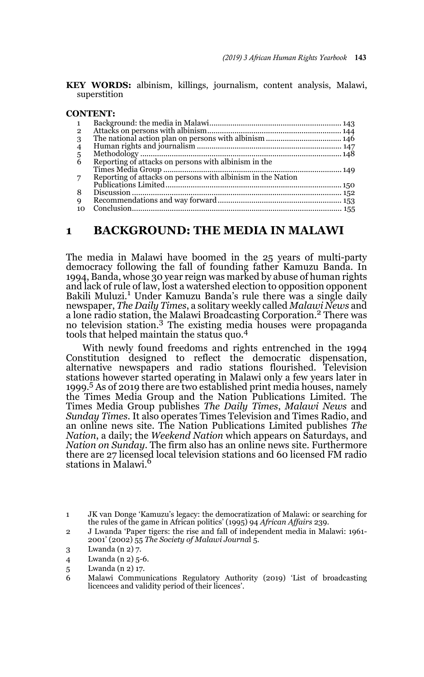**KEY WORDS:** albinism, killings, journalism, content analysis, Malawi, superstition

#### **CONTENT:**

| $\mathbf{1}$   |                                                             |  |
|----------------|-------------------------------------------------------------|--|
| $\overline{2}$ |                                                             |  |
| 3              |                                                             |  |
| $\overline{4}$ |                                                             |  |
|                |                                                             |  |
| $\frac{5}{6}$  | Reporting of attacks on persons with albinism in the        |  |
|                |                                                             |  |
| 7              | Reporting of attacks on persons with albinism in the Nation |  |
|                |                                                             |  |
| 8              |                                                             |  |
| 9              |                                                             |  |
| 10             |                                                             |  |

#### **1 BACKGROUND: THE MEDIA IN MALAWI**

The media in Malawi have boomed in the 25 years of multi-party democracy following the fall of founding father Kamuzu Banda. In 1994, Banda, whose 30 year reign was marked by abuse of human rights and lack of rule of law, lost a watershed election to opposition opponent Bakili Muluzi.<sup>1</sup> Under Kamuzu Banda's rule there was a single daily newspaper, *The Daily Times*, a solitary weekly called *Malawi News* and a lone radio station, the Malawi Broadcasting Corporation.2 There was no television station.3 The existing media houses were propaganda tools that helped maintain the status quo.<sup>4</sup>

With newly found freedoms and rights entrenched in the 1994 Constitution designed to reflect the democratic dispensation, alternative newspapers and radio stations flourished. Television stations however started operating in Malawi only a few years later in 1999.5 As of 2019 there are two established print media houses, namely the Times Media Group and the Nation Publications Limited. The Times Media Group publishes *The Daily Times*, *Malawi News* and *Sunday Times*. It also operates Times Television and Times Radio, and an online news site. The Nation Publications Limited publishes *The Nation*, a daily; the *Weekend Nation* which appears on Saturdays, and *Nation on Sunday*. The firm also has an online news site. Furthermore there are 27 licensed local television stations and 60 licensed FM radio stations in Malawi.<sup>6</sup>

<sup>1</sup> JK van Donge 'Kamuzu's legacy: the democratization of Malawi: or searching for the rules of the game in African politics' (1995) 94 *African Affairs* 239.

<sup>2</sup> J Lwanda 'Paper tigers: the rise and fall of independent media in Malawi: 1961- 2001' (2002) 55 *The Society of Malawi Journa*l 5.

<sup>3</sup> Lwanda (n 2) 7.

<sup>4</sup> Lwanda (n 2) 5-6.

<sup>5</sup> Lwanda (n 2) 17.

<sup>6</sup> Malawi Communications Regulatory Authority (2019) 'List of broadcasting licencees and validity period of their licences'.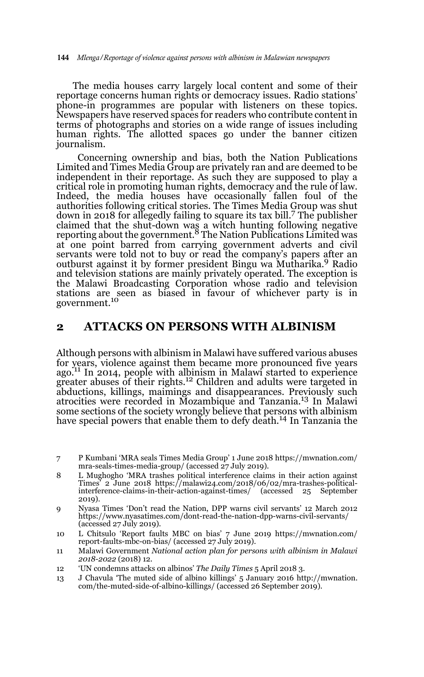The media houses carry largely local content and some of their reportage concerns human rights or democracy issues. Radio stations' phone-in programmes are popular with listeners on these topics. Newspapers have reserved spaces for readers who contribute content in terms of photographs and stories on a wide range of issues including human rights. The allotted spaces go under the banner citizen journalism.

 Concerning ownership and bias, both the Nation Publications Limited and Times Media Group are privately ran and are deemed to be independent in their reportage. As such they are supposed to play a critical role in promoting human rights, democracy and the rule of law. Indeed, the media houses have occasionally fallen foul of the authorities following critical stories. The Times Media Group was shut down in 2018 for allegedly failing to square its tax bill.7 The publisher claimed that the shut-down was a witch hunting following negative<br>reporting about the government.<sup>8</sup> The Nation Publications Limited was at one point barred from carrying government adverts and civil servants were told not to buy or read the company's papers after an outburst against it by former president Bingu wa Mutharika.9 Radio and television stations are mainly privately operated. The exception is the Malawi Broadcasting Corporation whose radio and television stations are seen as biased in favour of whichever party is in government.<sup>10</sup>

#### **2 ATTACKS ON PERSONS WITH ALBINISM**

Although persons with albinism in Malawi have suffered various abuses for years, violence against them became more pronounced five years ago.<sup>11</sup> In 2014, people with albinism in Malawi started to experience greater abuses of their rights.<sup>12</sup> Children and adults were targeted in abductions, killings, maimings and disappearances. Previously such atrocities were recorded in Mozambique and Tanzania.13 In Malawi some sections of the society wrongly believe that persons with albinism have special powers that enable them to defy death.<sup>14</sup> In Tanzania the

- 7 P Kumbani 'MRA seals Times Media Group' 1 June 2018 https://mwnation.com/ mra-seals-times-media-group/ (accessed 27 July 2019).
- 8 L Mughogho 'MRA trashes political interference claims in their action against Times' 2 June 2018 https://malawi24.com/2018/06/02/mra-trashes-politicalinterference-claims-in-their-action-against-times/ (accessed 25 September 2019).
- 9 Nyasa Times 'Don't read the Nation, DPP warns civil servants' 12 March 2012 https://www.nyasatimes.com/dont-read-the-nation-dpp-warns-civil-servants/ (accessed 27 July 2019).
- 10 L Chitsulo 'Report faults MBC on bias' 7 June 2019 https://mwnation.com/ report-faults-mbc-on-bias/ (accessed 27 July 2019).
- 11 Malawi Government *National action plan for persons with albinism in Malawi 2018-2022* (2018) 12.
- 12 'UN condemns attacks on albinos' *The Daily Times* 5 April 2018 3.
- 13 J Chavula 'The muted side of albino killings' 5 January 2016 http://mwnation. com/the-muted-side-of-albino-killings/ (accessed 26 September 2019).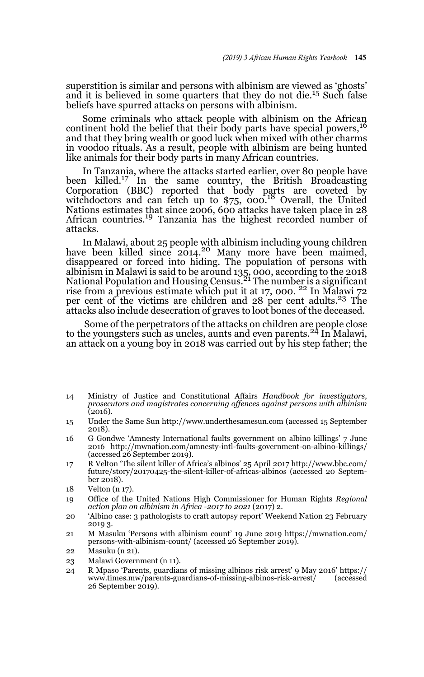superstition is similar and persons with albinism are viewed as 'ghosts' and it is believed in some quarters that they do not die.15 Such false beliefs have spurred attacks on persons with albinism.

Some criminals who attack people with albinism on the African continent hold the belief that their body parts have special powers,<sup>16</sup> and that they bring wealth or good luck when mixed with other charms in voodoo rituals. As a result, people with albinism are being hunted like animals for their body parts in many African countries.

In Tanzania, where the attacks started earlier, over 80 people have been killed.<sup>17</sup> In the same country, the British Broadcasting Corporation (BBC) reported that body parts are coveted by witchdoctors and can fetch up to \$75, 000.<sup>18</sup> Overall, the United Nations estimates that since 2006, 600 attacks have taken place in 28 African countries.19 Tanzania has the highest recorded number of attacks.

In Malawi, about 25 people with albinism including young children have been killed since 2014.20 Many more have been maimed, disappeared or forced into hiding. The population of persons with albinism in Malawi is said to be around 135, 000, according to the 2018<br>National Population and Housing Census.<sup>21</sup> The number is a significant rise from a previous estimate which put it at 17, 000.<sup>22</sup> In Malawi 72 per cent of the victims are children and 28 per cent adults.23 The attacks also include desecration of graves to loot bones of the deceased.

 Some of the perpetrators of the attacks on children are people close to the youngsters such as uncles, aunts and even parents.24 In Malawi, an attack on a young boy in 2018 was carried out by his step father; the

- 14 Ministry of Justice and Constitutional Affairs *Handbook for investigators, prosecutors and magistrates concerning offences against persons with albinism* (2016).
- 15 Under the Same Sun http://www.underthesamesun.com (accessed 15 September 2018).
- 16 G Gondwe 'Amnesty International faults government on albino killings' 7 June 2016 http://mwnation.com/amnesty-intl-faults-government-on-albino-killings/ (accessed 26 September 2019).
- 17 R Velton 'The silent killer of Africa's albinos' 25 April 2017 http://www.bbc.com/ future/story/20170425-the-silent-killer-of-africas-albinos (accessed 20 September 2018).
- 18 Velton (n 17).
- 19 Office of the United Nations High Commissioner for Human Rights *Regional action plan on albinism in Africa -2017 to 2021* (2017) 2.
- 20 'Albino case: 3 pathologists to craft autopsy report' Weekend Nation 23 February 2019 3.
- 21 M Masuku 'Persons with albinism count' 19 June 2019 https://mwnation.com/ persons-with-albinism-count/ (accessed 26 September 2019).
- 22 Masuku (n 21).
- 23 Malawi Government (n 11).
- 24 R Mpaso 'Parents, guardians of missing albinos risk arrest' 9 May 2016' https:// www.times.mw/parents-guardians-of-missing-albinos-risk-arrest/ 26 September 2019).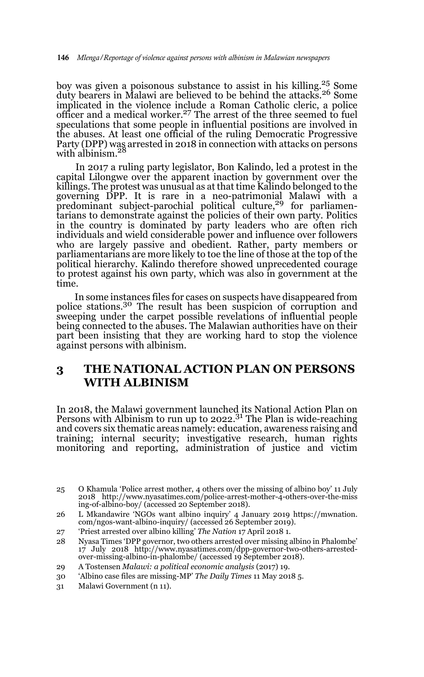boy was given a poisonous substance to assist in his killing.25 Some duty bearers in Malawi are believed to be behind the attacks.<sup>26</sup> Some implicated in the violence include a Roman Catholic cleric, a police officer and a medical worker.<sup>27</sup> The arrest of the three seemed to fuel speculations that some people in influential positions are involved in the abuses. At least one official of the ruling Democratic Progressive Party (DPP) was arrested in 2018 in connection with attacks on persons<br>with albinism.<sup>28</sup>

 In 2017 a ruling party legislator, Bon Kalindo, led a protest in the capital Lilongwe over the apparent inaction by government over the killings. The protest was unusual as at that time Kalindo belonged to the governing DPP. It is rare in a neo-patrimonial Malawi with a<br>predominant subject-parochial political culture,<sup>29</sup> for parliamentarians to demonstrate against the policies of their own party. Politics in the country is dominated by party leaders who are often rich individuals and wield considerable power and influence over followers who are largely passive and obedient. Rather, party members or parliamentarians are more likely to toe the line of those at the top of the political hierarchy. Kalindo therefore showed unprecedented courage to protest against his own party, which was also in government at the time.

 In some instances files for cases on suspects have disappeared from police stations.30 The result has been suspicion of corruption and sweeping under the carpet possible revelations of influential people being connected to the abuses. The Malawian authorities have on their part been insisting that they are working hard to stop the violence against persons with albinism.

# **3 THE NATIONAL ACTION PLAN ON PERSONS WITH ALBINISM**

In 2018, the Malawi government launched its National Action Plan on Persons with Albinism to run up to  $2022<sup>31</sup>$  The Plan is wide-reaching and covers six thematic areas namely: education, awareness raising and training; internal security; investigative research, human rights monitoring and reporting, administration of justice and victim

<sup>25</sup> O Khamula 'Police arrest mother, 4 others over the missing of albino boy' 11 July 2018 http://www.nyasatimes.com/police-arrest-mother-4-others-over-the-miss ing-of-albino-boy/ (accessed 20 September 2018).

<sup>26</sup> L Mkandawire 'NGOs want albino inquiry' 4 January 2019 https://mwnation. com/ngos-want-albino-inquiry/ (accessed 26 September 2019).

<sup>27 &#</sup>x27;Priest arrested over albino killing' *The Nation* 17 April 2018 1.

<sup>28</sup> Nyasa Times 'DPP governor, two others arrested over missing albino in Phalombe' 17 July 2018 http://www.nyasatimes.com/dpp-governor-two-others-arrestedover-missing-albino-in-phalombe/ (accessed 19 September 2018).

<sup>29</sup> A Tostensen *Malawi: a political economic analysis* (2017) 19.

<sup>30 &#</sup>x27;Albino case files are missing-MP' *The Daily Times* 11 May 2018 5.

<sup>31</sup> Malawi Government (n 11).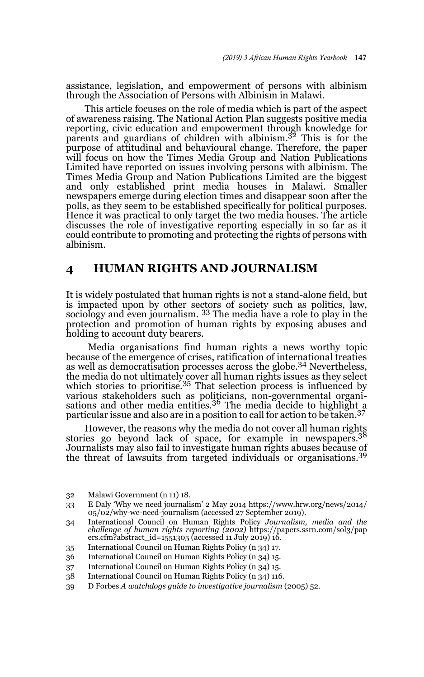assistance, legislation, and empowerment of persons with albinism through the Association of Persons with Albinism in Malawi.

 This article focuses on the role of media which is part of the aspect of awareness raising. The National Action Plan suggests positive media reporting, civic education and empowerment through knowledge for parents and guardians of children with albinism.<sup>32</sup> This is for the purpose of attitudinal and behavioural change. Therefore, the paper will focus on how the Times Media Group and Nation Publications Limited have reported on issues involving persons with albinism. The Times Media Group and Nation Publications Limited are the biggest and only established print media houses in Malawi. Smaller newspapers emerge during election times and disappear soon after the polls, as they seem to be established specifically for political purposes. Hence it was practical to only target the two media houses. The article discusses the role of investigative reporting especially in so far as it could contribute to promoting and protecting the rights of persons with albinism.

### **4 HUMAN RIGHTS AND JOURNALISM**

It is widely postulated that human rights is not a stand-alone field, but is impacted upon by other sectors of society such as politics, law, sociology and even journalism. <sup>33</sup> The media have a role to play in the protection and promotion of human rights by exposing abuses and holding to account duty bearers.

 Media organisations find human rights a news worthy topic because of the emergence of crises, ratification of international treaties as well as democratisation processes across the globe.<sup>34</sup> Nevertheless, the media do not ultimately cover all human rights issues as they select<br>which stories to prioritise.<sup>35</sup> That selection process is influenced by various stakeholders such as politicians, non-governmental organisations and other media entities.<sup>36</sup> The media decide to highlight a particular issue and also are in a position to call for action to be taken.<sup>37</sup>

 However, the reasons why the media do not cover all human rights stories go beyond lack of space, for example in newspapers.<sup>38</sup> Journalists may also fail to investigate human rights abuses because of the threat of lawsuits from targeted individuals or organisations.<sup>39</sup>

<sup>32</sup> Malawi Government (n 11) 18.

<sup>33</sup> E Daly 'Why we need journalism' 2 May 2014 https://www.hrw.org/news/2014/ 05/02/why-we-need-journalism (accessed 27 September 2019).

<sup>34</sup> International Council on Human Rights Policy *Journalism, media and the challenge of human rights reporting (2002)* https://papers.ssrn.com/sol3/pap ers.cfm?abstract\_id=1551305 (accessed 11 July 2019) 16.

<sup>35</sup> International Council on Human Rights Policy (n 34) 17.

<sup>36</sup> International Council on Human Rights Policy (n 34) 15.

<sup>37</sup> International Council on Human Rights Policy (n 34) 15.

<sup>38</sup> International Council on Human Rights Policy (n 34) 116.

<sup>39</sup> D Forbes *A watchdogs guide to investigative journalism* (2005) 52.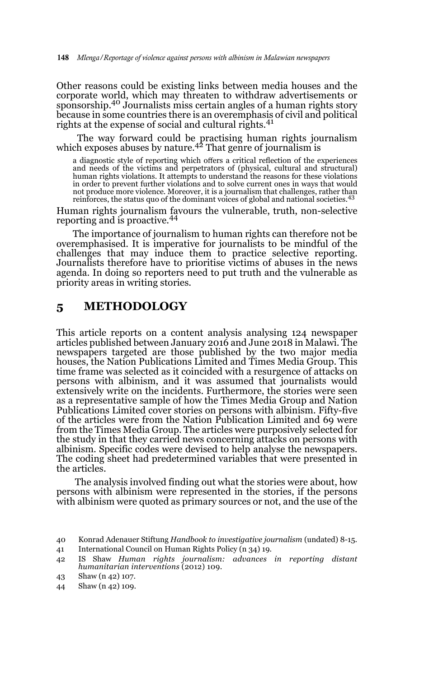Other reasons could be existing links between media houses and the corporate world, which may threaten to withdraw advertisements or sponsorship.40 Journalists miss certain angles of a human rights story because in some countries there is an overemphasis of civil and political rights at the expense of social and cultural rights.<sup>41</sup>

 The way forward could be practising human rights journalism which exposes abuses by nature.<sup>42</sup> That genre of journalism is

a diagnostic style of reporting which offers a critical reflection of the experiences and needs of the victims and perpetrators of (physical, cultural and structural) human rights violations. It attempts to understand the reasons for these violations in order to prevent further violations and to solve current ones in ways that would not produce more violence. Moreover, it is a journalism that challenges, rather than reinforces, the status quo of the dominant voices of global and national societies.<sup>43</sup>

Human rights journalism favours the vulnerable, truth, non-selective reporting and is proactive.<sup>44</sup>

The importance of journalism to human rights can therefore not be overemphasised. It is imperative for journalists to be mindful of the challenges that may induce them to practice selective reporting. Journalists therefore have to prioritise victims of abuses in the news agenda. In doing so reporters need to put truth and the vulnerable as priority areas in writing stories.

### **5 METHODOLOGY**

This article reports on a content analysis analysing 124 newspaper articles published between January 2016 and June 2018 in Malawi. The newspapers targeted are those published by the two major media houses, the Nation Publications Limited and Times Media Group. This time frame was selected as it coincided with a resurgence of attacks on persons with albinism, and it was assumed that journalists would extensively write on the incidents. Furthermore, the stories were seen as a representative sample of how the Times Media Group and Nation Publications Limited cover stories on persons with albinism. Fifty-five of the articles were from the Nation Publication Limited and 69 were from the Times Media Group. The articles were purposively selected for the study in that they carried news concerning attacks on persons with albinism. Specific codes were devised to help analyse the newspapers. The coding sheet had predetermined variables that were presented in the articles.

 The analysis involved finding out what the stories were about, how persons with albinism were represented in the stories, if the persons with albinism were quoted as primary sources or not, and the use of the

44 Shaw (n 42) 109.

<sup>40</sup> Konrad Adenauer Stiftung *Handbook to investigative journalism* (undated) 8-15.

<sup>41</sup> International Council on Human Rights Policy (n 34) 19.

<sup>42</sup> IS Shaw *Human rights journalism: advances in reporting distant humanitarian interventions* (2012) 109.

<sup>43</sup> Shaw (n 42) 107.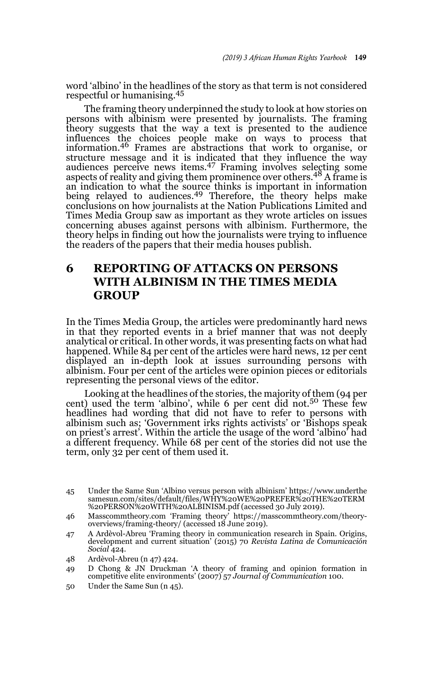word 'albino' in the headlines of the story as that term is not considered respectful or humanising.<sup>45</sup>

 The framing theory underpinned the study to look at how stories on persons with albinism were presented by journalists. The framing theory suggests that the way a text is presented to the audience influences the choices people make on ways to process that information.46 Frames are abstractions that work to organise, or structure message and it is indicated that they influence the way<br>audiences perceive news items.<sup>47</sup> Framing involves selecting some aspects of reality and giving them prominence over others.<sup>48</sup> A frame is an indication to what the source thinks is important in information being relayed to audiences.<sup>49</sup> Therefore, the theory helps make conclusions on how journalists at the Nation Publications Limited and Times Media Group saw as important as they wrote articles on issues concerning abuses against persons with albinism. Furthermore, the theory helps in finding out how the journalists were trying to influence the readers of the papers that their media houses publish.

# **6 REPORTING OF ATTACKS ON PERSONS WITH ALBINISM IN THE TIMES MEDIA GROUP**

In the Times Media Group, the articles were predominantly hard news in that they reported events in a brief manner that was not deeply analytical or critical. In other words, it was presenting facts on what had happened. While 84 per cent of the articles were hard news, 12 per cent displayed an in-depth look at issues surrounding persons with albinism. Four per cent of the articles were opinion pieces or editorials representing the personal views of the editor.

 Looking at the headlines of the stories, the majority of them (94 per cent) used the term 'albino', while 6 per cent did not.<sup>50</sup> These few headlines had wording that did not have to refer to persons with albinism such as; 'Government irks rights activists' or 'Bishops speak on priest's arrest'. Within the article the usage of the word 'albino' had a different frequency. While 68 per cent of the stories did not use the term, only 32 per cent of them used it.

- 47 A Ardèvol-Abreu 'Framing theory in communication research in Spain. Origins, development and current situation' (2015) 70 *Revista Latina de Comunicación Social* 424.
- 48 Ardèvol-Abreu (n 47) 424.
- 49 D Chong & JN Druckman 'A theory of framing and opinion formation in competitive elite environments' (2007) 57 *Journal of Communication* 100.
- 50 Under the Same Sun (n 45).

<sup>45</sup> Under the Same Sun 'Albino versus person with albinism' https://www.underthe samesun.com/sites/default/files/WHY%20WE%20PREFER%20THE%20TERM %20PERSON%20WITH%20ALBINISM.pdf (accessed 30 July 2019).

<sup>46</sup> Masscommtheory.com 'Framing theory' https://masscommtheory.com/theoryoverviews/framing-theory/ (accessed 18 June 2019).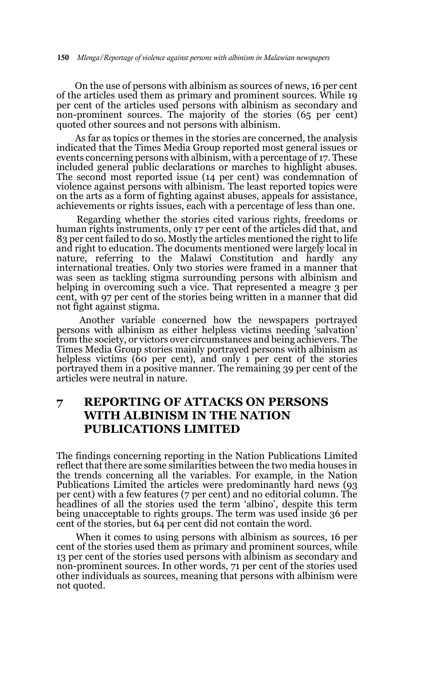On the use of persons with albinism as sources of news, 16 per cent of the articles used them as primary and prominent sources. While 19 per cent of the articles used persons with albinism as secondary and non-prominent sources. The majority of the stories (65 per cent) quoted other sources and not persons with albinism.

 As far as topics or themes in the stories are concerned, the analysis indicated that the Times Media Group reported most general issues or events concerning persons with albinism, with a percentage of 17. These included general public declarations or marches to highlight abuses. The second most reported issue (14 per cent) was condemnation of violence against persons with albinism. The least reported topics were on the arts as a form of fighting against abuses, appeals for assistance, achievements or rights issues, each with a percentage of less than one.

 Regarding whether the stories cited various rights, freedoms or human rights instruments, only 17 per cent of the articles did that, and 83 per cent failed to do so. Mostly the articles mentioned the right to life and right to education. The documents mentioned were largely local in nature, referring to the Malawi Constitution and hardly any international treaties. Only two stories were framed in a manner that was seen as tackling stigma surrounding persons with albinism and helping in overcoming such a vice. That represented a meagre 3 per cent, with 97 per cent of the stories being written in a manner that did not fight against stigma.

 Another variable concerned how the newspapers portrayed persons with albinism as either helpless victims needing 'salvation' from the society, or victors over circumstances and being achievers. The Times Media Group stories mainly portrayed persons with albinism as helpless victims (60 per cent), and only 1 per cent of the stories portrayed them in a positive manner. The remaining 39 per cent of the articles were neutral in nature.

# **7 REPORTING OF ATTACKS ON PERSONS WITH ALBINISM IN THE NATION PUBLICATIONS LIMITED**

The findings concerning reporting in the Nation Publications Limited reflect that there are some similarities between the two media houses in the trends concerning all the variables. For example, in the Nation Publications Limited the articles were predominantly hard news (93 per cent) with a few features (7 per cent) and no editorial column. The headlines of all the stories used the term 'albino', despite this term being unacceptable to rights groups. The term was used inside 36 per cent of the stories, but 64 per cent did not contain the word.

 When it comes to using persons with albinism as sources, 16 per cent of the stories used them as primary and prominent sources, while 13 per cent of the stories used persons with albinism as secondary and non-prominent sources. In other words, 71 per cent of the stories used other individuals as sources, meaning that persons with albinism were not quoted.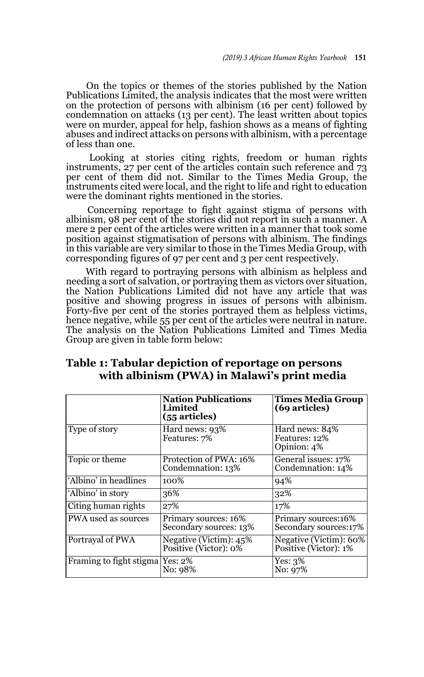On the topics or themes of the stories published by the Nation Publications Limited, the analysis indicates that the most were written on the protection of persons with albinism (16 per cent) followed by condemnation on attacks (13 per cent). The least written about topics were on murder, appeal for help, fashion shows as a means of fighting abuses and indirect attacks on persons with albinism, with a percentage of less than one.

 Looking at stories citing rights, freedom or human rights instruments, 27 per cent of the articles contain such reference and 73 per cent of them did not. Similar to the Times Media Group, the instruments cited were local, and the right to life and right to education were the dominant rights mentioned in the stories.

 Concerning reportage to fight against stigma of persons with albinism, 98 per cent of the stories did not report in such a manner. A mere 2 per cent of the articles were written in a manner that took some position against stigmatisation of persons with albinism. The findings in this variable are very similar to those in the Times Media Group, with corresponding figures of 97 per cent and 3 per cent respectively.

 With regard to portraying persons with albinism as helpless and needing a sort of salvation, or portraying them as victors over situation, the Nation Publications Limited did not have any article that was positive and showing progress in issues of persons with albinism. Forty-five per cent of the stories portrayed them as helpless victims, hence negative, while 55 per cent of the articles were neutral in nature. The analysis on the Nation Publications Limited and Times Media Group are given in table form below:

|                                 | <b>Nation Publications</b><br>Limited<br>(55 articles) | <b>Times Media Group</b><br>(69 articles)       |
|---------------------------------|--------------------------------------------------------|-------------------------------------------------|
| Type of story                   | Hard news: 93%<br>Features: 7%                         | Hard news: 84%<br>Features: 12%<br>Opinion: 4%  |
| Topic or theme                  | Protection of PWA: 16%<br>Condemnation: 13%            | General issues: 17%<br>Condemnation: 14%        |
| 'Albino' in headlines           | 100%                                                   | 94%                                             |
| 'Albino' in story               | 36%                                                    | 32%                                             |
| Citing human rights             | 27%                                                    | 17%                                             |
| PWA used as sources             | Primary sources: 16%<br>Secondary sources: 13%         | Primary sources:16%<br>Secondary sources:17%    |
| Portrayal of PWA                | Negative (Victim): 45%<br>Positive (Victor): 0%        | Negative (Victim): 60%<br>Positive (Victor): 1% |
| Framing to fight stigma Yes: 2% | No: 98%                                                | Yes: 3%<br>No: 97%                              |

### **Table 1: Tabular depiction of reportage on persons with albinism (PWA) in Malawi's print media**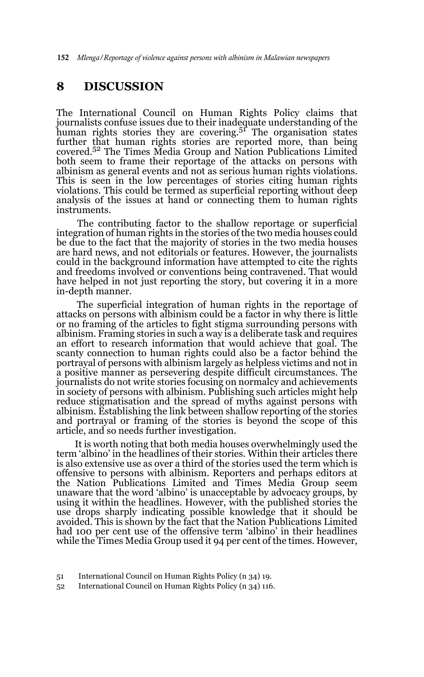152 *Mlenga/Reportage of violence against persons with albinism in Malawian newspapers*

### **8 DISCUSSION**

The International Council on Human Rights Policy claims that journalists confuse issues due to their inadequate understanding of the human rights stories they are covering.51 The organisation states further that human rights stories are reported more, than being covered.52 The Times Media Group and Nation Publications Limited both seem to frame their reportage of the attacks on persons with albinism as general events and not as serious human rights violations. This is seen in the low percentages of stories citing human rights violations. This could be termed as superficial reporting without deep analysis of the issues at hand or connecting them to human rights instruments.

 The contributing factor to the shallow reportage or superficial integration of human rights in the stories of the two media houses could be due to the fact that the majority of stories in the two media houses are hard news, and not editorials or features. However, the journalists could in the background information have attempted to cite the rights and freedoms involved or conventions being contravened. That would have helped in not just reporting the story, but covering it in a more in-depth manner.

 The superficial integration of human rights in the reportage of attacks on persons with albinism could be a factor in why there is little or no framing of the articles to fight stigma surrounding persons with albinism. Framing stories in such a way is a deliberate task and requires an effort to research information that would achieve that goal. The scanty connection to human rights could also be a factor behind the portrayal of persons with albinism largely as helpless victims and not in a positive manner as persevering despite difficult circumstances. The journalists do not write stories focusing on normalcy and achievements in society of persons with albinism. Publishing such articles might help reduce stigmatisation and the spread of myths against persons with albinism. Establishing the link between shallow reporting of the stories and portrayal or framing of the stories is beyond the scope of this article, and so needs further investigation.

 It is worth noting that both media houses overwhelmingly used the term 'albino' in the headlines of their stories. Within their articles there is also extensive use as over a third of the stories used the term which is offensive to persons with albinism. Reporters and perhaps editors at the Nation Publications Limited and Times Media Group seem unaware that the word 'albino' is unacceptable by advocacy groups, by using it within the headlines. However, with the published stories the use drops sharply indicating possible knowledge that it should be avoided. This is shown by the fact that the Nation Publications Limited had 100 per cent use of the offensive term 'albino' in their headlines while the Times Media Group used it 94 per cent of the times. However,

<sup>51</sup> International Council on Human Rights Policy (n 34) 19.

<sup>52</sup> International Council on Human Rights Policy (n 34) 116.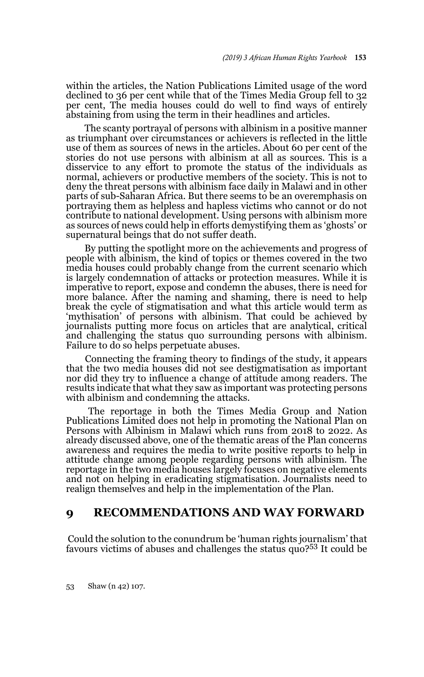within the articles, the Nation Publications Limited usage of the word declined to 36 per cent while that of the Times Media Group fell to 32 per cent, The media houses could do well to find ways of entirely abstaining from using the term in their headlines and articles.

 The scanty portrayal of persons with albinism in a positive manner as triumphant over circumstances or achievers is reflected in the little use of them as sources of news in the articles. About 60 per cent of the stories do not use persons with albinism at all as sources. This is a disservice to any effort to promote the status of the individuals as normal, achievers or productive members of the society. This is not to deny the threat persons with albinism face daily in Malawi and in other parts of sub-Saharan Africa. But there seems to be an overemphasis on portraying them as helpless and hapless victims who cannot or do not contribute to national development. Using persons with albinism more as sources of news could help in efforts demystifying them as 'ghosts' or supernatural beings that do not suffer death.

 By putting the spotlight more on the achievements and progress of people with albinism, the kind of topics or themes covered in the two media houses could probably change from the current scenario which is largely condemnation of attacks or protection measures. While it is imperative to report, expose and condemn the abuses, there is need for more balance. After the naming and shaming, there is need to help break the cycle of stigmatisation and what this article would term as 'mythisation' of persons with albinism. That could be achieved by journalists putting more focus on articles that are analytical, critical and challenging the status quo surrounding persons with albinism. Failure to do so helps perpetuate abuses.

 Connecting the framing theory to findings of the study, it appears that the two media houses did not see destigmatisation as important nor did they try to influence a change of attitude among readers. The results indicate that what they saw as important was protecting persons with albinism and condemning the attacks.

 The reportage in both the Times Media Group and Nation Publications Limited does not help in promoting the National Plan on Persons with Albinism in Malawi which runs from 2018 to 2022. As already discussed above, one of the thematic areas of the Plan concerns awareness and requires the media to write positive reports to help in attitude change among people regarding persons with albinism. The reportage in the two media houses largely focuses on negative elements and not on helping in eradicating stigmatisation. Journalists need to realign themselves and help in the implementation of the Plan.

### **9 RECOMMENDATIONS AND WAY FORWARD**

 Could the solution to the conundrum be 'human rights journalism' that favours victims of abuses and challenges the status quo?53 It could be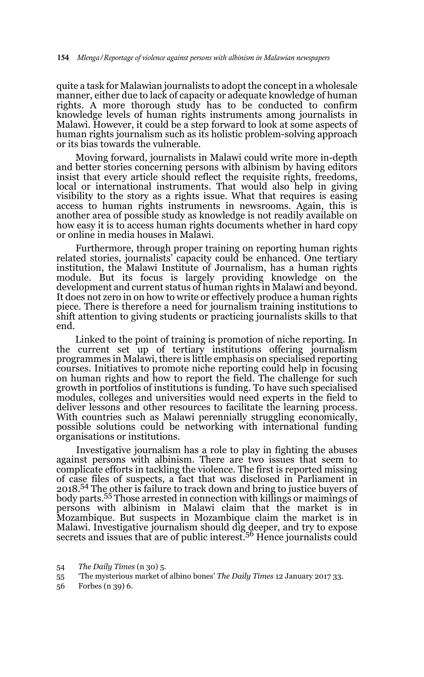quite a task for Malawian journalists to adopt the concept in a wholesale manner, either due to lack of capacity or adequate knowledge of human rights. A more thorough study has to be conducted to confirm knowledge levels of human rights instruments among journalists in Malawi. However, it could be a step forward to look at some aspects of human rights journalism such as its holistic problem-solving approach or its bias towards the vulnerable.

 Moving forward, journalists in Malawi could write more in-depth and better stories concerning persons with albinism by having editors insist that every article should reflect the requisite rights, freedoms, local or international instruments. That would also help in giving visibility to the story as a rights issue. What that requires is easing access to human rights instruments in newsrooms. Again, this is another area of possible study as knowledge is not readily available on how easy it is to access human rights documents whether in hard copy or online in media houses in Malawi.

 Furthermore, through proper training on reporting human rights related stories, journalists' capacity could be enhanced. One tertiary institution, the Malawi Institute of Journalism, has a human rights module. But its focus is largely providing knowledge on the development and current status of human rights in Malawi and beyond. It does not zero in on how to write or effectively produce a human rights piece. There is therefore a need for journalism training institutions to shift attention to giving students or practicing journalists skills to that end.

 Linked to the point of training is promotion of niche reporting. In the current set up of tertiary institutions offering journalism programmes in Malawi, there is little emphasis on specialised reporting courses. Initiatives to promote niche reporting could help in focusing on human rights and how to report the field. The challenge for such growth in portfolios of institutions is funding. To have such specialised modules, colleges and universities would need experts in the field to deliver lessons and other resources to facilitate the learning process. With countries such as Malawi perennially struggling economically, possible solutions could be networking with international funding organisations or institutions.

 Investigative journalism has a role to play in fighting the abuses against persons with albinism. There are two issues that seem to complicate efforts in tackling the violence. The first is reported missing of case files of suspects, a fact that was disclosed in Parliament in 2018.54 The other is failure to track down and bring to justice buyers of body parts.55 Those arrested in connection with killings or maimings of persons with albinism in Malawi claim that the market is in Mozambique. But suspects in Mozambique claim the market is in Malawi. Investigative journalism should dig deeper, and try to expose secrets and issues that are of public interest.56 Hence journalists could

<sup>54</sup> *The Daily Times* (n 30) 5.

<sup>55 &#</sup>x27;The mysterious market of albino bones' *The Daily Times* 12 January 2017 33.

<sup>56</sup> Forbes (n 39) 6.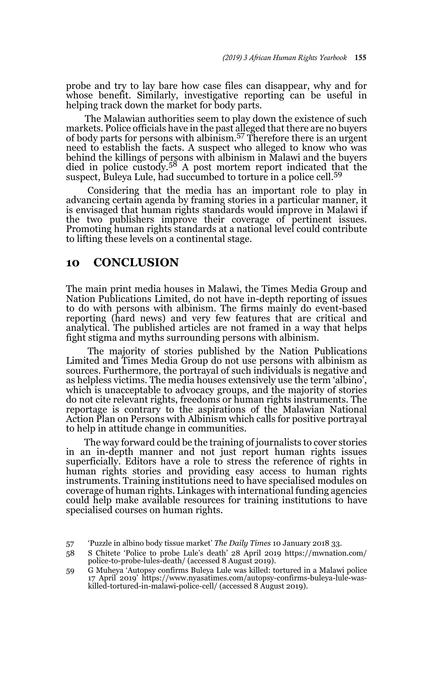probe and try to lay bare how case files can disappear, why and for whose benefit. Similarly, investigative reporting can be useful in helping track down the market for body parts.

 The Malawian authorities seem to play down the existence of such markets. Police officials have in the past alleged that there are no buyers of body parts for persons with albinism.57 Therefore there is an urgent need to establish the facts. A suspect who alleged to know who was behind the killings of persons with albinism in Malawi and the buyers died in police custody.58 A post mortem report indicated that the suspect, Buleya Lule, had succumbed to torture in a police cell.<sup>59</sup>

 Considering that the media has an important role to play in advancing certain agenda by framing stories in a particular manner, it is envisaged that human rights standards would improve in Malawi if the two publishers improve their coverage of pertinent issues. Promoting human rights standards at a national level could contribute to lifting these levels on a continental stage.

## **10 CONCLUSION**

The main print media houses in Malawi, the Times Media Group and Nation Publications Limited, do not have in-depth reporting of issues to do with persons with albinism. The firms mainly do event-based reporting (hard news) and very few features that are critical and analytical. The published articles are not framed in a way that helps fight stigma and myths surrounding persons with albinism.

 The majority of stories published by the Nation Publications Limited and Times Media Group do not use persons with albinism as sources. Furthermore, the portrayal of such individuals is negative and as helpless victims. The media houses extensively use the term 'albino', which is unacceptable to advocacy groups, and the majority of stories do not cite relevant rights, freedoms or human rights instruments. The reportage is contrary to the aspirations of the Malawian National Action Plan on Persons with Albinism which calls for positive portrayal to help in attitude change in communities.

 The way forward could be the training of journalists to cover stories in an in-depth manner and not just report human rights issues superficially. Editors have a role to stress the reference of rights in human rights stories and providing easy access to human rights instruments. Training institutions need to have specialised modules on coverage of human rights. Linkages with international funding agencies could help make available resources for training institutions to have specialised courses on human rights.

<sup>57 &#</sup>x27;Puzzle in albino body tissue market' *The Daily Times* 10 January 2018 33.

<sup>58</sup> S Chitete 'Police to probe Lule's death' 28 April 2019 https://mwnation.com/ police-to-probe-lules-death/ (accessed 8 August 2019).

<sup>59</sup> G Muheya 'Autopsy confirms Buleya Lule was killed: tortured in a Malawi police 17 April 2019' https://www.nyasatimes.com/autopsy-confirms-buleya-lule-waskilled-tortured-in-malawi-police-cell/ (accessed 8 August 2019).